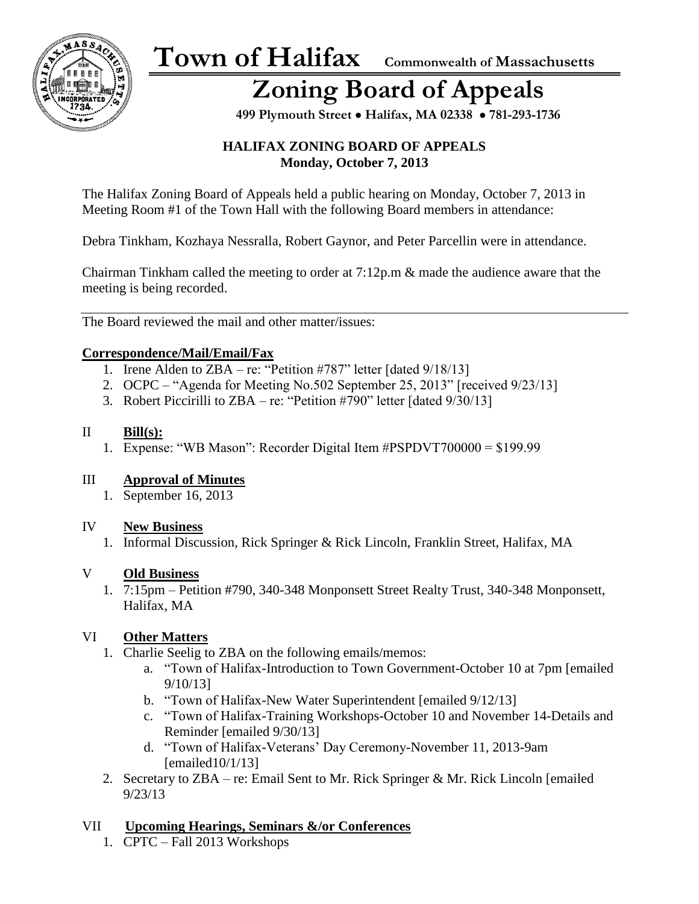

## **Zoning Board of Appeals**

 **499 Plymouth Street** • **Halifax, MA 02338** • **781-293-1736**

#### **HALIFAX ZONING BOARD OF APPEALS Monday, October 7, 2013**

The Halifax Zoning Board of Appeals held a public hearing on Monday, October 7, 2013 in Meeting Room #1 of the Town Hall with the following Board members in attendance:

Debra Tinkham, Kozhaya Nessralla, Robert Gaynor, and Peter Parcellin were in attendance.

Chairman Tinkham called the meeting to order at 7:12p.m & made the audience aware that the meeting is being recorded.

The Board reviewed the mail and other matter/issues:

#### **Correspondence/Mail/Email/Fax**

- 1. Irene Alden to ZBA re: "Petition #787" letter [dated  $9/18/13$ ]
- 2. OCPC "Agenda for Meeting No.502 September 25, 2013" [received 9/23/13]
- 3. Robert Piccirilli to ZBA re: "Petition #790" letter [dated 9/30/13]

#### II **Bill(s):**

1. Expense: "WB Mason": Recorder Digital Item #PSPDVT700000 = \$199.99

#### III **Approval of Minutes**

1. September 16, 2013

#### IV **New Business**

1. Informal Discussion, Rick Springer & Rick Lincoln, Franklin Street, Halifax, MA

#### V **Old Business**

1. 7:15pm – Petition #790, 340-348 Monponsett Street Realty Trust, 340-348 Monponsett, Halifax, MA

#### VI **Other Matters**

- 1. Charlie Seelig to ZBA on the following emails/memos:
	- a. "Town of Halifax-Introduction to Town Government-October 10 at 7pm [emailed 9/10/13]
	- b. "Town of Halifax-New Water Superintendent [emailed 9/12/13]
	- c. "Town of Halifax-Training Workshops-October 10 and November 14-Details and Reminder [emailed 9/30/13]
	- d. "Town of Halifax-Veterans' Day Ceremony-November 11, 2013-9am [emailed10/1/13]
- 2. Secretary to ZBA re: Email Sent to Mr. Rick Springer & Mr. Rick Lincoln [emailed 9/23/13

#### VII **Upcoming Hearings, Seminars &/or Conferences**

1. CPTC – Fall 2013 Workshops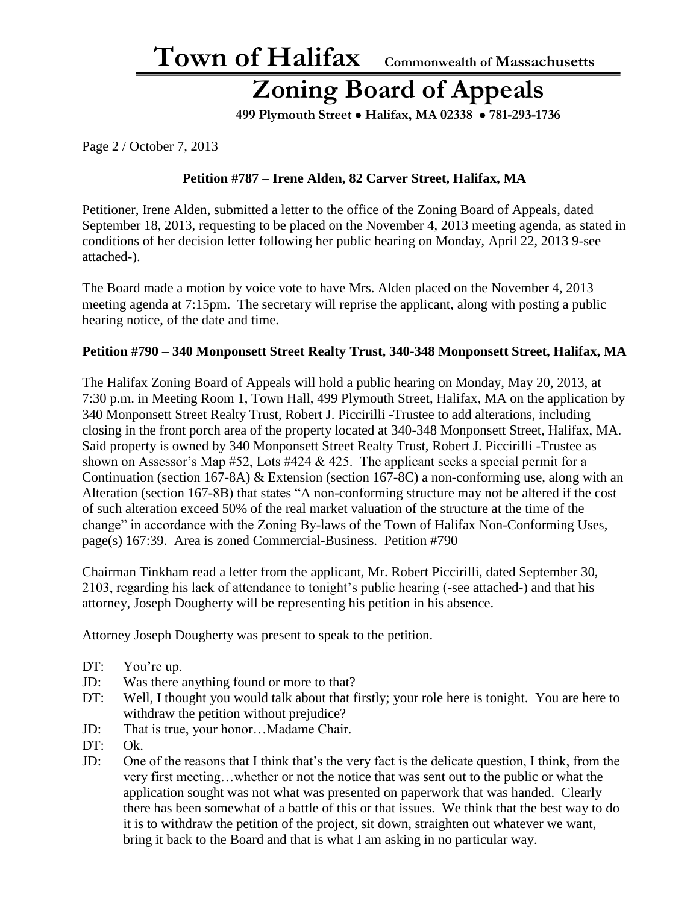### **Zoning Board of Appeals**

 **499 Plymouth Street** • **Halifax, MA 02338** • **781-293-1736**

Page 2 / October 7, 2013

#### **Petition #787 – Irene Alden, 82 Carver Street, Halifax, MA**

Petitioner, Irene Alden, submitted a letter to the office of the Zoning Board of Appeals, dated September 18, 2013, requesting to be placed on the November 4, 2013 meeting agenda, as stated in conditions of her decision letter following her public hearing on Monday, April 22, 2013 9-see attached-).

The Board made a motion by voice vote to have Mrs. Alden placed on the November 4, 2013 meeting agenda at 7:15pm. The secretary will reprise the applicant, along with posting a public hearing notice, of the date and time.

#### **Petition #790 – 340 Monponsett Street Realty Trust, 340-348 Monponsett Street, Halifax, MA**

The Halifax Zoning Board of Appeals will hold a public hearing on Monday, May 20, 2013, at 7:30 p.m. in Meeting Room 1, Town Hall, 499 Plymouth Street, Halifax, MA on the application by 340 Monponsett Street Realty Trust, Robert J. Piccirilli -Trustee to add alterations, including closing in the front porch area of the property located at 340-348 Monponsett Street, Halifax, MA. Said property is owned by 340 Monponsett Street Realty Trust, Robert J. Piccirilli -Trustee as shown on Assessor's Map  $#52$ , Lots  $#424 \& 425$ . The applicant seeks a special permit for a Continuation (section 167-8A) & Extension (section 167-8C) a non-conforming use, along with an Alteration (section 167-8B) that states "A non-conforming structure may not be altered if the cost of such alteration exceed 50% of the real market valuation of the structure at the time of the change" in accordance with the Zoning By-laws of the Town of Halifax Non-Conforming Uses, page(s) 167:39. Area is zoned Commercial-Business. Petition #790

Chairman Tinkham read a letter from the applicant, Mr. Robert Piccirilli, dated September 30, 2103, regarding his lack of attendance to tonight's public hearing (-see attached-) and that his attorney, Joseph Dougherty will be representing his petition in his absence.

Attorney Joseph Dougherty was present to speak to the petition.

- DT: You're up.
- JD: Was there anything found or more to that?
- DT: Well, I thought you would talk about that firstly; your role here is tonight. You are here to withdraw the petition without prejudice?
- JD: That is true, your honor…Madame Chair.
- DT: Ok.
- JD: One of the reasons that I think that's the very fact is the delicate question, I think, from the very first meeting…whether or not the notice that was sent out to the public or what the application sought was not what was presented on paperwork that was handed. Clearly there has been somewhat of a battle of this or that issues. We think that the best way to do it is to withdraw the petition of the project, sit down, straighten out whatever we want, bring it back to the Board and that is what I am asking in no particular way.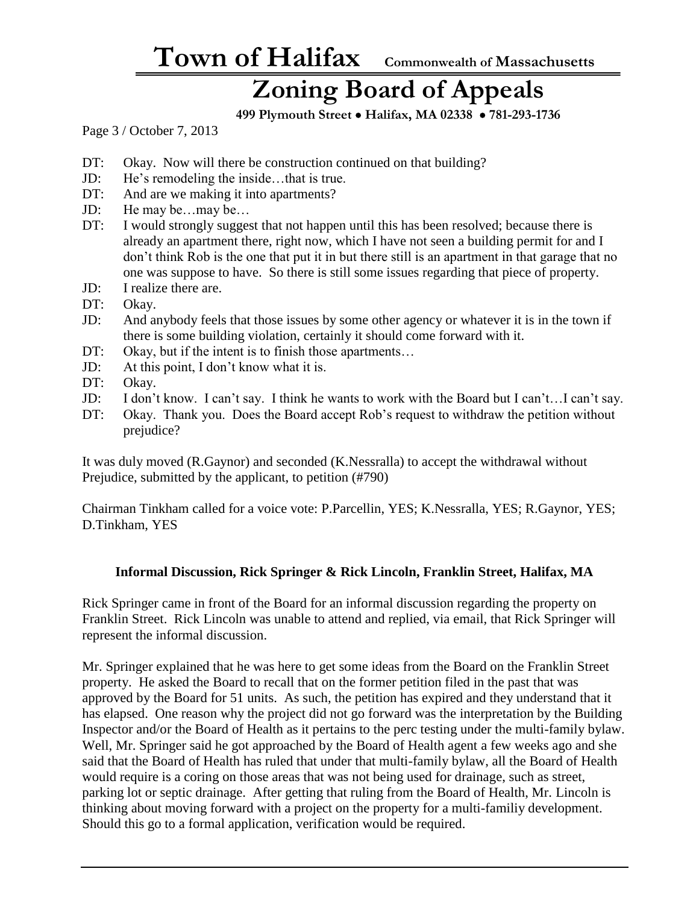### **Zoning Board of Appeals**

 **499 Plymouth Street** • **Halifax, MA 02338** • **781-293-1736**

Page 3 / October 7, 2013

- DT: Okay. Now will there be construction continued on that building?
- JD: He's remodeling the inside…that is true.
- DT: And are we making it into apartments?
- JD: He may be…may be…
- DT: I would strongly suggest that not happen until this has been resolved; because there is already an apartment there, right now, which I have not seen a building permit for and I don't think Rob is the one that put it in but there still is an apartment in that garage that no one was suppose to have. So there is still some issues regarding that piece of property.
- JD: I realize there are.
- DT: Okay.
- JD: And anybody feels that those issues by some other agency or whatever it is in the town if there is some building violation, certainly it should come forward with it.
- DT: Okay, but if the intent is to finish those apartments...
- JD: At this point, I don't know what it is.
- DT: Okay.
- JD: I don't know. I can't say. I think he wants to work with the Board but I can't…I can't say.
- DT: Okay. Thank you. Does the Board accept Rob's request to withdraw the petition without prejudice?

It was duly moved (R.Gaynor) and seconded (K.Nessralla) to accept the withdrawal without Prejudice, submitted by the applicant, to petition (#790)

Chairman Tinkham called for a voice vote: P.Parcellin, YES; K.Nessralla, YES; R.Gaynor, YES; D.Tinkham, YES

#### **Informal Discussion, Rick Springer & Rick Lincoln, Franklin Street, Halifax, MA**

Rick Springer came in front of the Board for an informal discussion regarding the property on Franklin Street. Rick Lincoln was unable to attend and replied, via email, that Rick Springer will represent the informal discussion.

Mr. Springer explained that he was here to get some ideas from the Board on the Franklin Street property. He asked the Board to recall that on the former petition filed in the past that was approved by the Board for 51 units. As such, the petition has expired and they understand that it has elapsed. One reason why the project did not go forward was the interpretation by the Building Inspector and/or the Board of Health as it pertains to the perc testing under the multi-family bylaw. Well, Mr. Springer said he got approached by the Board of Health agent a few weeks ago and she said that the Board of Health has ruled that under that multi-family bylaw, all the Board of Health would require is a coring on those areas that was not being used for drainage, such as street, parking lot or septic drainage. After getting that ruling from the Board of Health, Mr. Lincoln is thinking about moving forward with a project on the property for a multi-familiy development. Should this go to a formal application, verification would be required.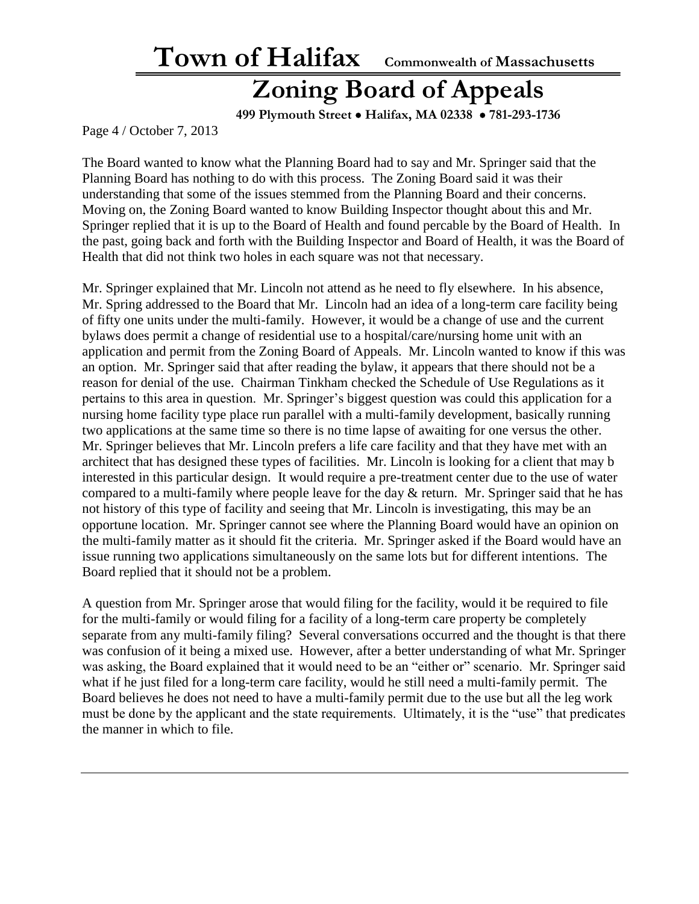### **Zoning Board of Appeals**

 **499 Plymouth Street** • **Halifax, MA 02338** • **781-293-1736**

Page 4 / October 7, 2013

The Board wanted to know what the Planning Board had to say and Mr. Springer said that the Planning Board has nothing to do with this process. The Zoning Board said it was their understanding that some of the issues stemmed from the Planning Board and their concerns. Moving on, the Zoning Board wanted to know Building Inspector thought about this and Mr. Springer replied that it is up to the Board of Health and found percable by the Board of Health. In the past, going back and forth with the Building Inspector and Board of Health, it was the Board of Health that did not think two holes in each square was not that necessary.

Mr. Springer explained that Mr. Lincoln not attend as he need to fly elsewhere. In his absence, Mr. Spring addressed to the Board that Mr. Lincoln had an idea of a long-term care facility being of fifty one units under the multi-family. However, it would be a change of use and the current bylaws does permit a change of residential use to a hospital/care/nursing home unit with an application and permit from the Zoning Board of Appeals. Mr. Lincoln wanted to know if this was an option. Mr. Springer said that after reading the bylaw, it appears that there should not be a reason for denial of the use. Chairman Tinkham checked the Schedule of Use Regulations as it pertains to this area in question. Mr. Springer's biggest question was could this application for a nursing home facility type place run parallel with a multi-family development, basically running two applications at the same time so there is no time lapse of awaiting for one versus the other. Mr. Springer believes that Mr. Lincoln prefers a life care facility and that they have met with an architect that has designed these types of facilities. Mr. Lincoln is looking for a client that may b interested in this particular design. It would require a pre-treatment center due to the use of water compared to a multi-family where people leave for the day & return. Mr. Springer said that he has not history of this type of facility and seeing that Mr. Lincoln is investigating, this may be an opportune location. Mr. Springer cannot see where the Planning Board would have an opinion on the multi-family matter as it should fit the criteria. Mr. Springer asked if the Board would have an issue running two applications simultaneously on the same lots but for different intentions. The Board replied that it should not be a problem.

A question from Mr. Springer arose that would filing for the facility, would it be required to file for the multi-family or would filing for a facility of a long-term care property be completely separate from any multi-family filing? Several conversations occurred and the thought is that there was confusion of it being a mixed use. However, after a better understanding of what Mr. Springer was asking, the Board explained that it would need to be an "either or" scenario. Mr. Springer said what if he just filed for a long-term care facility, would he still need a multi-family permit. The Board believes he does not need to have a multi-family permit due to the use but all the leg work must be done by the applicant and the state requirements. Ultimately, it is the "use" that predicates the manner in which to file.